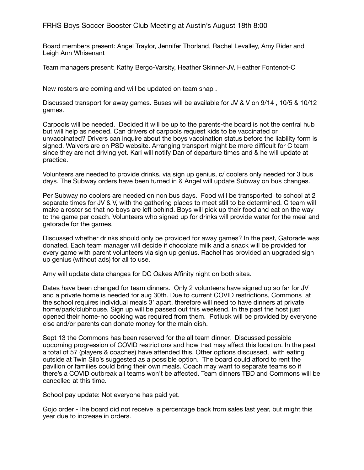## FRHS Boys Soccer Booster Club Meeting at Austin's August 18th 8:00

Board members present: Angel Traylor, Jennifer Thorland, Rachel Levalley, Amy Rider and Leigh Ann Whisenant

Team managers present: Kathy Bergo-Varsity, Heather Skinner-JV, Heather Fontenot-C

New rosters are coming and will be updated on team snap .

Discussed transport for away games. Buses will be available for JV & V on 9/14 , 10/5 & 10/12 games.

Carpools will be needed. Decided it will be up to the parents-the board is not the central hub but will help as needed. Can drivers of carpools request kids to be vaccinated or unvaccinated? Drivers can inquire about the boys vaccination status before the liability form is signed. Waivers are on PSD website. Arranging transport might be more difficult for C team since they are not driving yet. Kari will notify Dan of departure times and & he will update at practice.

Volunteers are needed to provide drinks, via sign up genius, c/ coolers only needed for 3 bus days. The Subway orders have been turned in & Angel will update Subway on bus changes.

Per Subway no coolers are needed on non bus days. Food will be transported to school at 2 separate times for JV & V, with the gathering places to meet still to be determined. C team will make a roster so that no boys are left behind. Boys will pick up their food and eat on the way to the game per coach. Volunteers who signed up for drinks will provide water for the meal and gatorade for the games.

Discussed whether drinks should only be provided for away games? In the past, Gatorade was donated. Each team manager will decide if chocolate milk and a snack will be provided for every game with parent volunteers via sign up genius. Rachel has provided an upgraded sign up genius (without ads) for all to use.

Amy will update date changes for DC Oakes Affinity night on both sites.

Dates have been changed for team dinners. Only 2 volunteers have signed up so far for JV and a private home is needed for aug 30th. Due to current COVID restrictions, Commons at the school requires individual meals 3' apart, therefore will need to have dinners at private home/park/clubhouse. Sign up will be passed out this weekend. In the past the host just opened their home-no cooking was required from them. Potluck will be provided by everyone else and/or parents can donate money for the main dish.

Sept 13 the Commons has been reserved for the all team dinner. Discussed possible upcoming progression of COVID restrictions and how that may affect this location. In the past a total of 57 (players & coaches) have attended this. Other options discussed, with eating outside at Twin Silo's suggested as a possible option. The board could afford to rent the pavilion or families could bring their own meals. Coach may want to separate teams so if there's a COVID outbreak all teams won't be affected. Team dinners TBD and Commons will be cancelled at this time.

School pay update: Not everyone has paid yet.

Gojo order -The board did not receive a percentage back from sales last year, but might this year due to increase in orders.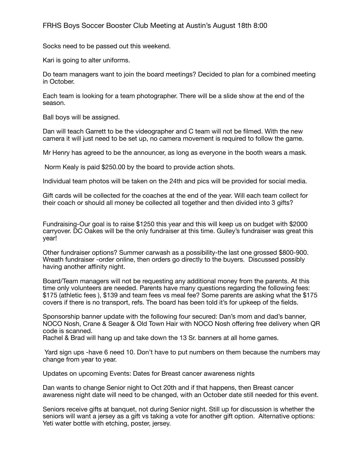Socks need to be passed out this weekend.

Kari is going to alter uniforms.

Do team managers want to join the board meetings? Decided to plan for a combined meeting in October.

Each team is looking for a team photographer. There will be a slide show at the end of the season.

Ball boys will be assigned.

Dan will teach Garrett to be the videographer and C team will not be filmed. With the new camera it will just need to be set up, no camera movement is required to follow the game.

Mr Henry has agreed to be the announcer, as long as everyone in the booth wears a mask.

Norm Kealy is paid \$250.00 by the board to provide action shots.

Individual team photos will be taken on the 24th and pics will be provided for social media.

Gift cards will be collected for the coaches at the end of the year. Will each team collect for their coach or should all money be collected all together and then divided into 3 gifts?

Fundraising-Our goal is to raise \$1250 this year and this will keep us on budget with \$2000 carryover. DC Oakes will be the only fundraiser at this time. Gulley's fundraiser was great this year!

Other fundraiser options? Summer carwash as a possibility-the last one grossed \$800-900. Wreath fundraiser -order online, then orders go directly to the buyers. Discussed possibly having another affinity night.

Board/Team managers will not be requesting any additional money from the parents. At this time only volunteers are needed. Parents have many questions regarding the following fees: \$175 (athletic fees ), \$139 and team fees vs meal fee? Some parents are asking what the \$175 covers if there is no transport, refs. The board has been told it's for upkeep of the fields.

Sponsorship banner update with the following four secured: Dan's mom and dad's banner, NOCO Nosh, Crane & Seager & Old Town Hair with NOCO Nosh offering free delivery when QR code is scanned.

Rachel & Brad will hang up and take down the 13 Sr. banners at all home games.

 Yard sign ups -have 6 need 10. Don't have to put numbers on them because the numbers may change from year to year.

Updates on upcoming Events: Dates for Breast cancer awareness nights

Dan wants to change Senior night to Oct 20th and if that happens, then Breast cancer awareness night date will need to be changed, with an October date still needed for this event.

Seniors receive gifts at banquet, not during Senior night. Still up for discussion is whether the seniors will want a jersey as a gift vs taking a vote for another gift option. Alternative options: Yeti water bottle with etching, poster, jersey.